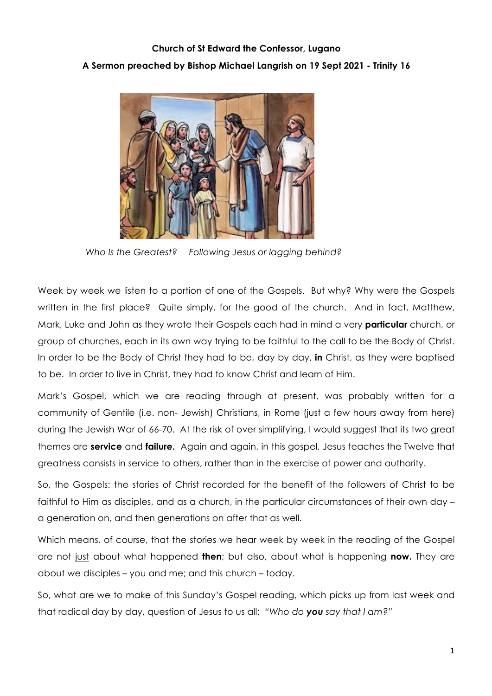## **Church of St Edward the Confessor, Lugano A Sermon preached by Bishop Michael Langrish on 19 Sept 2021 - Trinity 16**



 *Who Is the Greatest? Following Jesus or lagging behind?*

Week by week we listen to a portion of one of the Gospels. But why? Why were the Gospels written in the first place? Quite simply, for the good of the church. And in fact, Matthew, Mark, Luke and John as they wrote their Gospels each had in mind a very **particular** church, or group of churches, each in its own way trying to be faithful to the call to be the Body of Christ. In order to be the Body of Christ they had to be, day by day, **in** Christ, as they were baptised to be. In order to live in Christ, they had to know Christ and learn of Him.

Mark's Gospel, which we are reading through at present, was probably written for a community of Gentile (i.e. non- Jewish) Christians, in Rome (just a few hours away from here) during the Jewish War of 66-70. At the risk of over simplifying, I would suggest that its two great themes are **service** and **failure.** Again and again, in this gospel, Jesus teaches the Twelve that greatness consists in service to others, rather than in the exercise of power and authority.

So, the Gospels: the stories of Christ recorded for the benefit of the followers of Christ to be faithful to Him as disciples, and as a church, in the particular circumstances of their own day – a generation on, and then generations on after that as well.

Which means, of course, that the stories we hear week by week in the reading of the Gospel are not just about what happened **then**; but also, about what is happening **now.** They are about we disciples – you and me; and this church – today.

So, what are we to make of this Sunday's Gospel reading, which picks up from last week and that radical day by day, question of Jesus to us all: *"Who do you say that I am?"*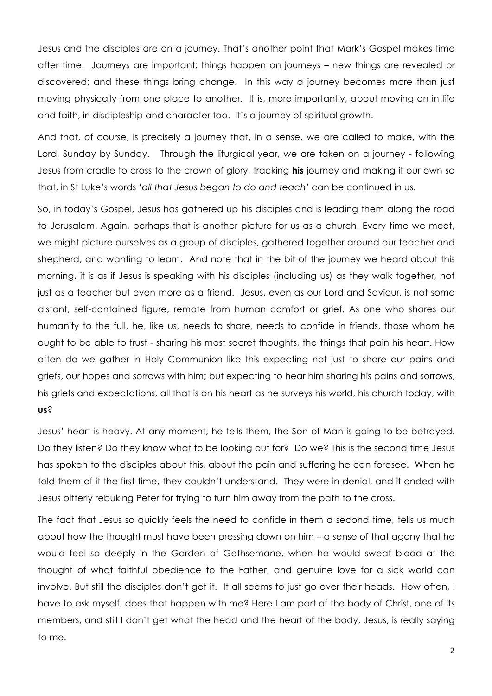Jesus and the disciples are on a journey. That's another point that Mark's Gospel makes time after time. Journeys are important; things happen on journeys – new things are revealed or discovered; and these things bring change. In this way a journey becomes more than just moving physically from one place to another. It is, more importantly, about moving on in life and faith, in discipleship and character too. It's a journey of spiritual growth.

And that, of course, is precisely a journey that, in a sense, we are called to make, with the Lord, Sunday by Sunday. Through the liturgical year, we are taken on a journey - following Jesus from cradle to cross to the crown of glory, tracking **his** journey and making it our own so that, in St Luke's words '*all that Jesus began to do and teach'* can be continued in us.

So, in today's Gospel, Jesus has gathered up his disciples and is leading them along the road to Jerusalem. Again, perhaps that is another picture for us as a church. Every time we meet, we might picture ourselves as a group of disciples, gathered together around our teacher and shepherd, and wanting to learn. And note that in the bit of the journey we heard about this morning, it is as if Jesus is speaking with his disciples (including us) as they walk together, not just as a teacher but even more as a friend. Jesus, even as our Lord and Saviour, is not some distant, self-contained figure, remote from human comfort or grief. As one who shares our humanity to the full, he, like us, needs to share, needs to confide in friends, those whom he ought to be able to trust - sharing his most secret thoughts, the things that pain his heart. How often do we gather in Holy Communion like this expecting not just to share our pains and griefs, our hopes and sorrows with him; but expecting to hear him sharing his pains and sorrows, his griefs and expectations, all that is on his heart as he surveys his world, his church today, with **us**?

Jesus' heart is heavy. At any moment, he tells them, the Son of Man is going to be betrayed. Do they listen? Do they know what to be looking out for? Do we? This is the second time Jesus has spoken to the disciples about this, about the pain and suffering he can foresee. When he told them of it the first time, they couldn't understand. They were in denial, and it ended with Jesus bitterly rebuking Peter for trying to turn him away from the path to the cross.

The fact that Jesus so quickly feels the need to confide in them a second time, tells us much about how the thought must have been pressing down on him – a sense of that agony that he would feel so deeply in the Garden of Gethsemane, when he would sweat blood at the thought of what faithful obedience to the Father, and genuine love for a sick world can involve. But still the disciples don't get it. It all seems to just go over their heads. How often, I have to ask myself, does that happen with me? Here I am part of the body of Christ, one of its members, and still I don't get what the head and the heart of the body, Jesus, is really saying to me.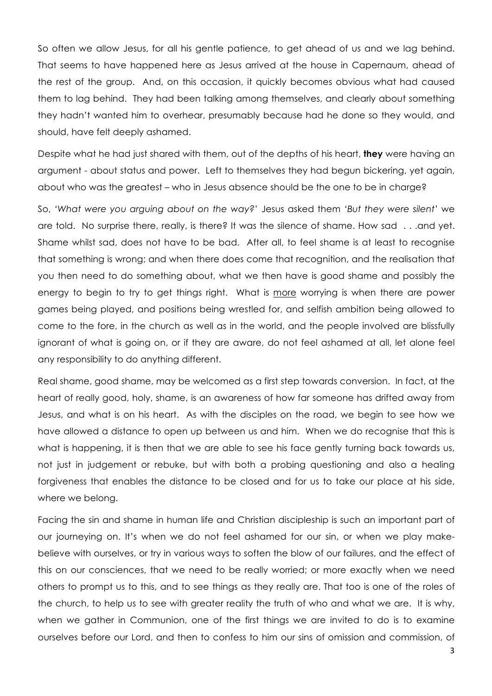So often we allow Jesus, for all his gentle patience, to get ahead of us and we lag behind. That seems to have happened here as Jesus arrived at the house in Capernaum, ahead of the rest of the group. And, on this occasion, it quickly becomes obvious what had caused them to lag behind. They had been talking among themselves, and clearly about something they hadn't wanted him to overhear, presumably because had he done so they would, and should, have felt deeply ashamed.

Despite what he had just shared with them, out of the depths of his heart, **they** were having an argument - about status and power. Left to themselves they had begun bickering, yet again, about who was the greatest – who in Jesus absence should be the one to be in charge?

So, *'What were you arguing about on the way?*' Jesus asked them *'But they were silent'* we are told. No surprise there, really, is there? It was the silence of shame. How sad . . .and yet. Shame whilst sad, does not have to be bad. After all, to feel shame is at least to recognise that something is wrong; and when there does come that recognition, and the realisation that you then need to do something about, what we then have is good shame and possibly the energy to begin to try to get things right. What is more worrying is when there are power games being played, and positions being wrestled for, and selfish ambition being allowed to come to the fore, in the church as well as in the world, and the people involved are blissfully ignorant of what is going on, or if they are aware, do not feel ashamed at all, let alone feel any responsibility to do anything different.

Real shame, good shame, may be welcomed as a first step towards conversion. In fact, at the heart of really good, holy, shame, is an awareness of how far someone has drifted away from Jesus, and what is on his heart. As with the disciples on the road, we begin to see how we have allowed a distance to open up between us and him. When we do recognise that this is what is happening, it is then that we are able to see his face gently turning back towards us, not just in judgement or rebuke, but with both a probing questioning and also a healing forgiveness that enables the distance to be closed and for us to take our place at his side, where we belong.

Facing the sin and shame in human life and Christian discipleship is such an important part of our journeying on. It's when we do not feel ashamed for our sin, or when we play makebelieve with ourselves, or try in various ways to soften the blow of our failures, and the effect of this on our consciences, that we need to be really worried; or more exactly when we need others to prompt us to this, and to see things as they really are. That too is one of the roles of the church, to help us to see with greater reality the truth of who and what we are. It is why, when we gather in Communion, one of the first things we are invited to do is to examine ourselves before our Lord, and then to confess to him our sins of omission and commission, of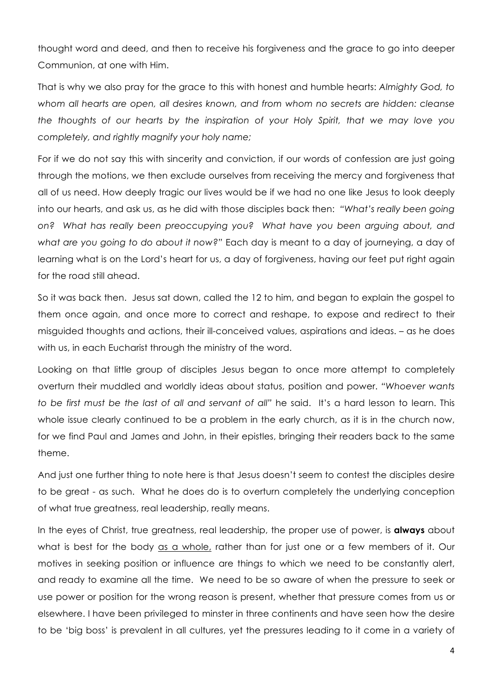thought word and deed, and then to receive his forgiveness and the grace to go into deeper Communion, at one with Him.

That is why we also pray for the grace to this with honest and humble hearts: *Almighty God, to whom all hearts are open, all desires known, and from whom no secrets are hidden: cleanse the thoughts of our hearts by the inspiration of your Holy Spirit, that we may love you completely, and rightly magnify your holy name;*

For if we do not say this with sincerity and conviction, if our words of confession are just going through the motions, we then exclude ourselves from receiving the mercy and forgiveness that all of us need. How deeply tragic our lives would be if we had no one like Jesus to look deeply into our hearts, and ask us, as he did with those disciples back then: *"What's really been going on? What has really been preoccupying you? What have you been arguing about, and what are you going to do about it now?"* Each day is meant to a day of journeying, a day of learning what is on the Lord's heart for us, a day of forgiveness, having our feet put right again for the road still ahead.

So it was back then. Jesus sat down, called the 12 to him, and began to explain the gospel to them once again, and once more to correct and reshape, to expose and redirect to their misguided thoughts and actions, their ill-conceived values, aspirations and ideas. – as he does with us, in each Eucharist through the ministry of the word.

Looking on that little group of disciples Jesus began to once more attempt to completely overturn their muddled and worldly ideas about status, position and power. *"Whoever wants to be first must be the last of all and servant of all"* he said. It's a hard lesson to learn. This whole issue clearly continued to be a problem in the early church, as it is in the church now, for we find Paul and James and John, in their epistles, bringing their readers back to the same theme.

And just one further thing to note here is that Jesus doesn't seem to contest the disciples desire to be great - as such. What he does do is to overturn completely the underlying conception of what true greatness, real leadership, really means.

In the eyes of Christ, true greatness, real leadership, the proper use of power, is **always** about what is best for the body as a whole, rather than for just one or a few members of it. Our motives in seeking position or influence are things to which we need to be constantly alert, and ready to examine all the time. We need to be so aware of when the pressure to seek or use power or position for the wrong reason is present, whether that pressure comes from us or elsewhere. I have been privileged to minster in three continents and have seen how the desire to be 'big boss' is prevalent in all cultures, yet the pressures leading to it come in a variety of